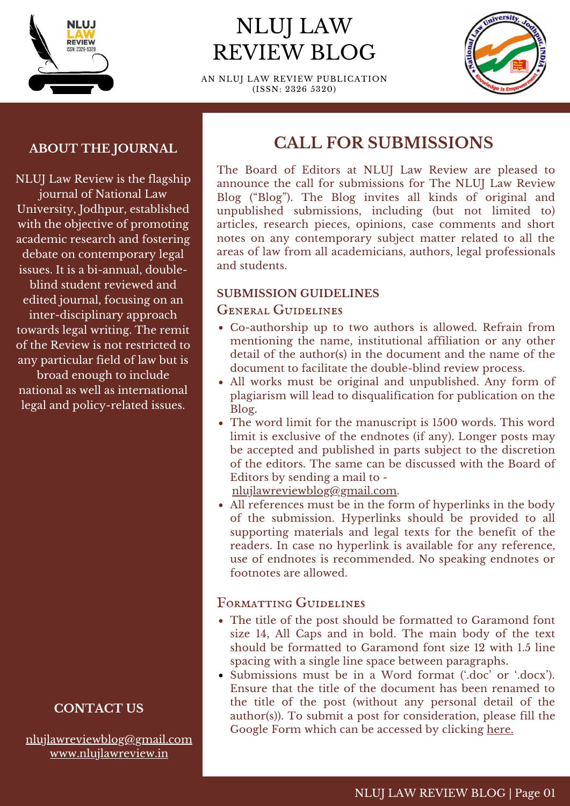

# NLUJ LAW REVIEW BLOG

AN NLUJ LAW REVIEW PUBLICATION (ISSN: 2326 5320)



#### **ABOUT THE JOURNAL**

NLUJ Law Review is the flagship journal of National Law University, Jodhpur, established with the objective of promoting academic research and fostering debate on contemporary legal issues. It is a bi-annual, doubleblind student reviewed and edited journal, focusing on an inter-disciplinary approach towards legal writing. The remit of the Review is not restricted to any particular field of law but is broad enough to include national as well as international legal and policy-related issues.

## **CONTACT US**

[nlujlawreviewblog@gmail.com](mailto:nlujlawreviewblog@gmail.com) [www.nlujlawreview.in](http://www.nlujlawreview.in/)

# **CALL FOR SUBMISSIONS**

The Board of Editors at NLUJ Law Review are pleased to announce the call for submissions for The NLUJ Law Review Blog ("Blog"). The Blog invites all kinds of original and unpublished submissions, including (but not limited to) articles, research pieces, opinions, case comments and short notes on any contemporary subject matter related to all the areas of law from all academicians, authors, legal professionals and students.

#### **SUBMISSION GUIDELINES**

#### General Guidelines

- Co-authorship up to two authors is allowed. Refrain from mentioning the name, institutional affiliation or any other detail of the author(s) in the document and the name of the document to facilitate the double-blind review process.
- All works must be original and unpublished. Any form of plagiarism will lead to disqualification for publication on the Blog.
- The word limit for the manuscript is 1500 words. This word limit is exclusive of the endnotes (if any). Longer posts may be accepted and published in parts subject to the discretion of the editors. The same can be discussed with the Board of Editors by sending a mail to -

[nlujlawreviewblog@gmail.com.](mailto:nlujlawreviewblog@gmail.com)

All references must be in the form of hyperlinks in the body of the submission. Hyperlinks should be provided to all supporting materials and legal texts for the benefit of the readers. In case no hyperlink is available for any reference, use of endnotes is recommended. No speaking endnotes or footnotes are allowed.

### Formatting Guidelines

- The title of the post should be formatted to Garamond font size 14, All Caps and in bold. The main body of the text should be formatted to Garamond font size 12 with 1.5 line spacing with a single line space between paragraphs.
- Submissions must be in a Word format ('.doc' or '.docx'). Ensure that the title of the document has been renamed to the title of the post (without any personal detail of the author(s)). To submit a post for consideration, please fill the Google Form which can be accessed by clicking [here.](https://docs.google.com/forms/d/e/1FAIpQLScgMaZxCG2yl6roeJr8AhnAozWLcaF9Y5bSzj6MzVqM8RbtDQ/viewform)